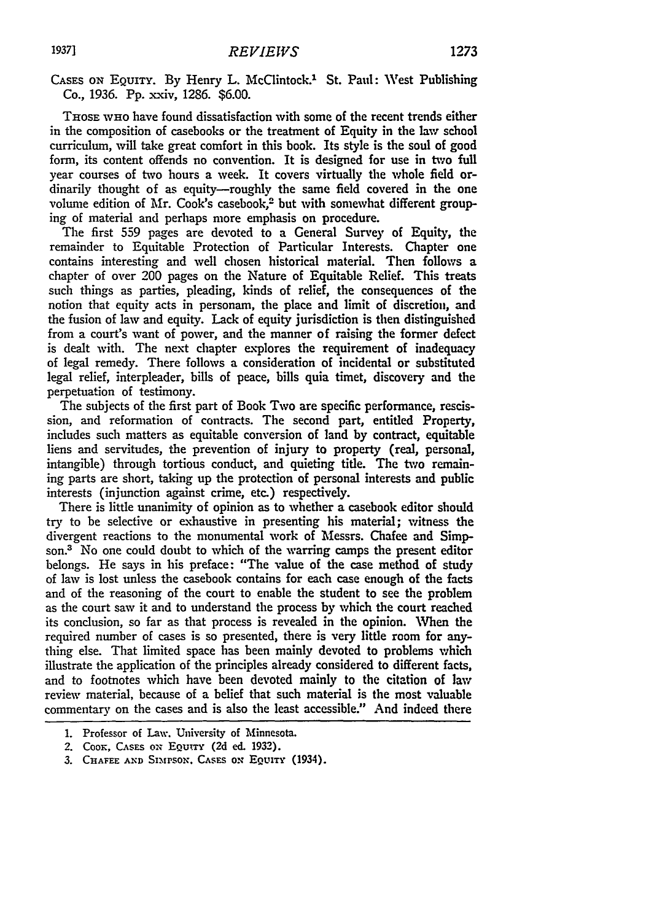CASES **ON** EQUITY. By Henry L. McClintock.' St. Paul: West Publishing Co., 1936. Pp. xxiv, 1286. \$6.00.

THOSE WHO have found dissatisfaction with some of the recent trends either in the composition of casebooks or the treatment of Equity in the law school curriculum, will take great comfort in this book. Its style is the soul of good form, its content offends no convention. It is designed for use in two full year courses of two hours a week. It covers virtually the whole field ordinarily thought of as equity-roughly the same field covered in the one volume edition of Mr. Cook's casebook,<sup>2</sup> but with somewhat different grouping of material and perhaps more emphasis on procedure.

The first **559** pages are devoted to a General Survey of Equity, the remainder to Equitable Protection of Particular Interests. Chapter one contains interesting and well chosen historical material. Then follows a chapter of over 200 pages on the Nature of Equitable Relief. This treats such things as parties, pleading, kinds of relief, the consequences of the notion that equity acts in personam, the place and limit of discretion, and the fusion of law and equity. Lack of equity jurisdiction is then distinguished from a court's want of power, and the manner of raising the former defect is dealt with. The next chapter explores the requirement of inadequacy of legal remedy. There follows a consideration of incidental or substituted legal relief, interpleader, bills of peace, bills quia timet, discovery and the perpetuation of testimony.

The subjects of the first part of Book Two are specific performance, rescission, and reformation of contracts. The second part, entitled Property, includes such matters as equitable conversion of land **by** contract, equitable liens and servitudes, the prevention of injury to property (real, personal, intangible) through tortious conduct, and quieting title. The two remaining parts are short, taking up the protection of personal interests and public interests (injunction against crime, etc.) respectively.

There is little unanimity of opinion as to whether a casebook editor should try to be selective or exhaustive in presenting his material; witness the divergent reactions to the monumental work of Messrs. Chafee and Simpson.<sup>3</sup> No one could doubt to which of the warring camps the present editor belongs. He says in his preface: "The value of the case method of study of law is lost unless the casebook contains for each case enough of the facts and of the reasoning of the court to enable the student to see the problem as the court saw it and to understand the process **by** which the court reached its conclusion, so far as that process is revealed in the opinion. When the required number of cases is so presented, there is very little room for anything else. That limited space has been mainly devoted to problems which illustrate the application of the principles already considered to different facts, and to footnotes which have been devoted mainly to the citation of law review material, because of a belief that such material is the most valuable commentary on the cases and is also the least accessible." And indeed there

<sup>1.</sup> Professor of Law. University of Minnesota.

<sup>2.</sup> CooK, CAsEs **ox** EQXmTY **(2d** ed. 1932).

<sup>3.</sup> CHAFEE AND SIMPSON. CASES ON EQUITY (1934).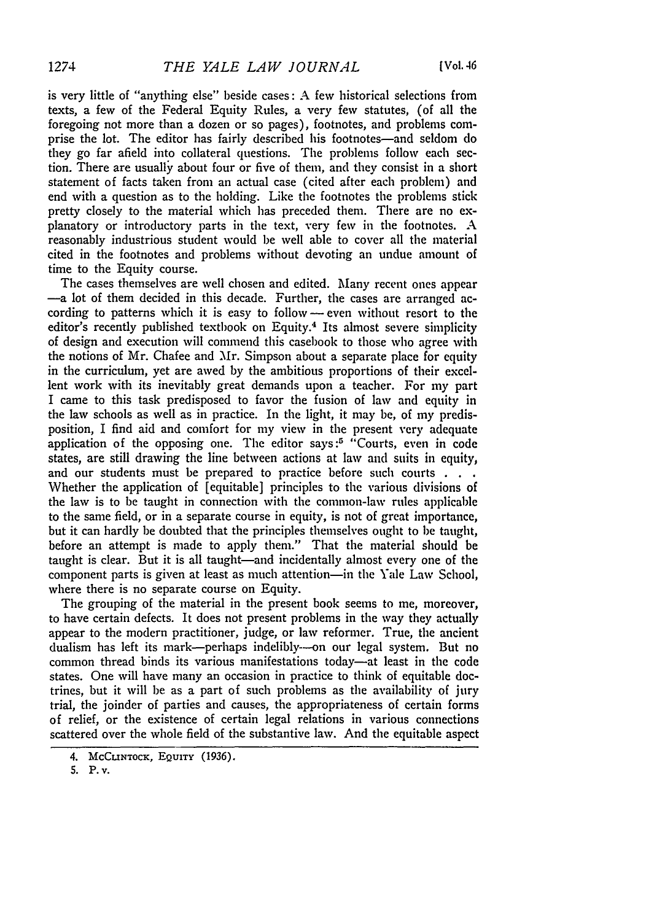is very little of "anything else" beside cases: A few historical selections from texts, a few of the Federal Equity Rules, a very few statutes, (of all the foregoing not more than a dozen or so pages), footnotes, and problems comprise the lot. The editor has fairly described his footnotes-and seldom do they go far afield into collateral questions. The problems follow each section. There are usually about four or five of them, and they consist in a short statement of facts taken from an actual case (cited after each problem) and end with a question as to the holding. Like the footnotes the problems stick pretty closely to the material which has preceded them. There are no explanatory or introductory parts in the text, very few in the footnotes. A reasonably industrious student would be well able to cover all the material cited in the footnotes and problems without devoting an undue amount of time to the Equity course.

The cases themselves are well chosen and edited. Many recent ones appear -a lot of them decided in this decade. Further, the cases are arranged according to patterns which it is easy to follow - even without resort to the editor's recently published textbook on Equity.<sup>4</sup> Its almost severe simplicity of design and execution will commend this casebook to those who agree with the notions of Mr. Chafee and Mr. Simpson about a separate place for equity in the curriculum, yet are awed **by** the ambitious proportions of their excellent work with its inevitably great demands upon a teacher. For my part I came to this task predisposed to favor the fusion of law and equity in the law schools as well as in practice. In the light, it may **be,** of my predisposition, I find aid and comfort for my view in the present very adequate application of the opposing one. The editor says:<sup>5</sup> "Courts, even in code states, are still drawing the line between actions at law and suits in equity, and our students must be prepared to practice before such courts **. .** Whether the application of [equitable] principles to the various divisions of the law is to be taught in connection with the common-law rules applicable to the same field, or in a separate course in equity, is not of great importance, but it can hardly be doubted that the principles themselves ought to be taught, before an attempt is made to apply them." That the material should be taught is clear. But it is all taught-and incidentally almost every one of the component parts is given at least as much attention-in the Yale Law School, where there is no separate course on Equity.

The grouping of the material in the present book seems to me, moreover, to have certain defects. It does not present problems in the **way** they actually appear to the modern practitioner, judge, or law reformer. True, the ancient dualism has left its mark-perhaps indelibly-on our legal system. But no common thread binds its various manifestations today-at least in the code states. One will have many an occasion in practice to think of equitable doctrines, but it will be as a part of such problems as the availability of jury trial, the joinder of parties and causes, the appropriateness of certain forms of relief, or the existence of certain legal relations in various connections scattered over the whole field of the substantive law. And the equitable aspect

<sup>4.</sup> **MCCLINTOCK, EQUITY** (1936).

<sup>5.</sup> P.v.